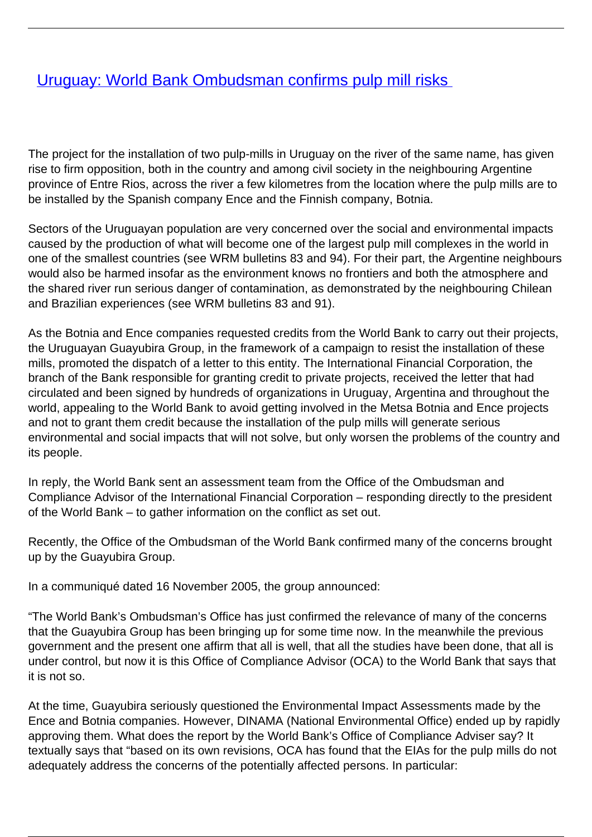## [Uruguay: World Bank Ombudsman confirms pulp mill risks](/bulletin-articles/uruguay-world-bank-ombudsman-confirms-pulp-mill-risks)

The project for the installation of two pulp-mills in Uruguay on the river of the same name, has given rise to firm opposition, both in the country and among civil society in the neighbouring Argentine province of Entre Rios, across the river a few kilometres from the location where the pulp mills are to be installed by the Spanish company Ence and the Finnish company, Botnia.

Sectors of the Uruguayan population are very concerned over the social and environmental impacts caused by the production of what will become one of the largest pulp mill complexes in the world in one of the smallest countries (see WRM bulletins 83 and 94). For their part, the Argentine neighbours would also be harmed insofar as the environment knows no frontiers and both the atmosphere and the shared river run serious danger of contamination, as demonstrated by the neighbouring Chilean and Brazilian experiences (see WRM bulletins 83 and 91).

As the Botnia and Ence companies requested credits from the World Bank to carry out their projects, the Uruguayan Guayubira Group, in the framework of a campaign to resist the installation of these mills, promoted the dispatch of a letter to this entity. The International Financial Corporation, the branch of the Bank responsible for granting credit to private projects, received the letter that had circulated and been signed by hundreds of organizations in Uruguay, Argentina and throughout the world, appealing to the World Bank to avoid getting involved in the Metsa Botnia and Ence projects and not to grant them credit because the installation of the pulp mills will generate serious environmental and social impacts that will not solve, but only worsen the problems of the country and its people.

In reply, the World Bank sent an assessment team from the Office of the Ombudsman and Compliance Advisor of the International Financial Corporation – responding directly to the president of the World Bank – to gather information on the conflict as set out.

Recently, the Office of the Ombudsman of the World Bank confirmed many of the concerns brought up by the Guayubira Group.

In a communiqué dated 16 November 2005, the group announced:

"The World Bank's Ombudsman's Office has just confirmed the relevance of many of the concerns that the Guayubira Group has been bringing up for some time now. In the meanwhile the previous government and the present one affirm that all is well, that all the studies have been done, that all is under control, but now it is this Office of Compliance Advisor (OCA) to the World Bank that says that it is not so.

At the time, Guayubira seriously questioned the Environmental Impact Assessments made by the Ence and Botnia companies. However, DINAMA (National Environmental Office) ended up by rapidly approving them. What does the report by the World Bank's Office of Compliance Adviser say? It textually says that "based on its own revisions, OCA has found that the EIAs for the pulp mills do not adequately address the concerns of the potentially affected persons. In particular: